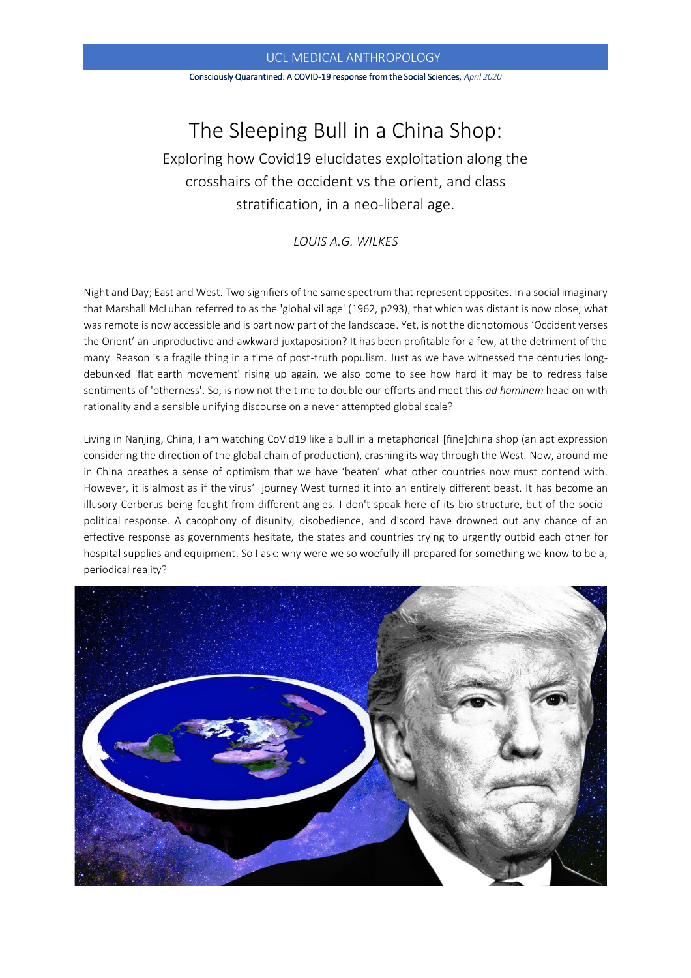#### Consciously Quarantined: A COVID-19 response from the Social Sciences, *April 2020*

# The Sleeping Bull in a China Shop: Exploring how Covid19 elucidates exploitation along the crosshairs of the occident vs the orient, and class stratification, in a neo-liberal age.

*LOUIS A.G. WILKES*

Night and Day; East and West. Two signifiers of the same spectrum that represent opposites. In a social imaginary that Marshall McLuhan referred to as the 'global village' (1962, p293), that which was distant is now close; what was remote is now accessible and is part now part of the landscape. Yet, is not the dichotomous 'Occident verses the Orient' an unproductive and awkward juxtaposition? It has been profitable for a few, at the detriment of the many. Reason is a fragile thing in a time of post-truth populism. Just as we have witnessed the centuries longdebunked 'flat earth movement' rising up again, we also come to see how hard it may be to redress false sentiments of 'otherness'. So, is now not the time to double our efforts and meet this *ad hominem* head on with rationality and a sensible unifying discourse on a never attempted global scale?

Living in Nanjing, China, I am watching CoVid19 like a bull in a metaphorical [fine]china shop (an apt expression considering the direction of the global chain of production), crashing its way through the West. Now, around me in China breathes a sense of optimism that we have 'beaten' what other countries now must contend with. However, it is almost as if the virus' journey West turned it into an entirely different beast. It has become an illusory Cerberus being fought from different angles. I don't speak here of its bio structure, but of the sociopolitical response. A cacophony of disunity, disobedience, and discord have drowned out any chance of an effective response as governments hesitate, the states and countries trying to urgently outbid each other for hospital supplies and equipment. So I ask: why were we so woefully ill-prepared for something we know to be a, periodical reality?

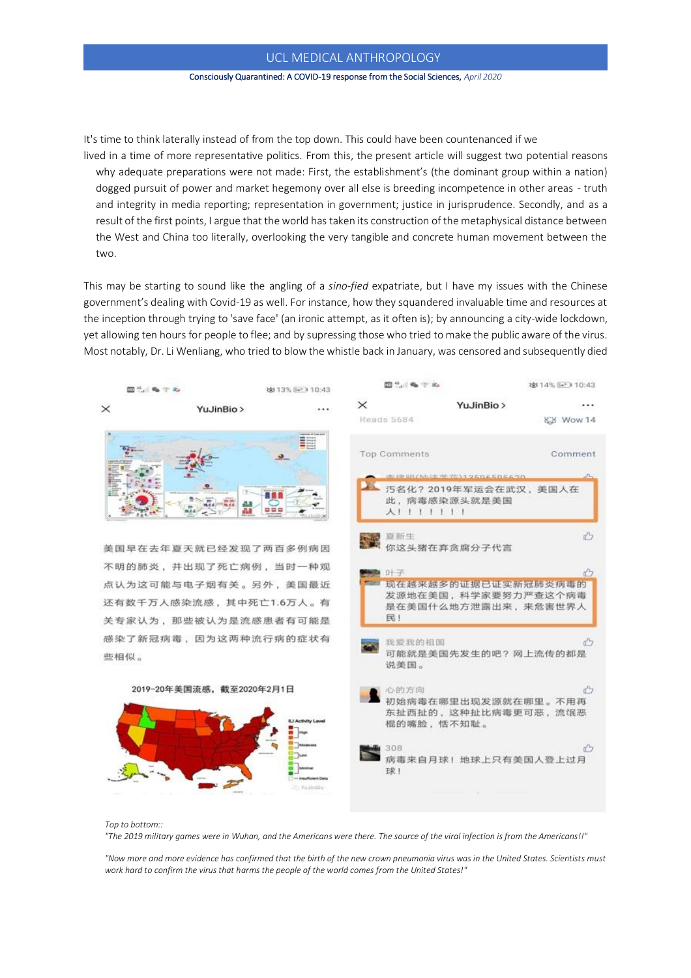#### Consciously Quarantined: A COVID-19 response from the Social Sciences, *April 2020*

It's time to think laterally instead of from the top down. This could have been countenanced if we

lived in a time of more representative politics. From this, the present article will suggest two potential reasons why adequate preparations were not made: First, the establishment's (the dominant group within a nation) dogged pursuit of power and market hegemony over all else is breeding incompetence in other areas - truth and integrity in media reporting; representation in government; justice in jurisprudence. Secondly, and as a result of the first points, I argue that the world has taken its construction of the metaphysical distance between the West and China too literally, overlooking the very tangible and concrete human movement between the two.

This may be starting to sound like the angling of a *sino-fied* expatriate, but I have my issues with the Chinese government's dealing with Covid-19 as well. For instance, how they squandered invaluable time and resources at the inception through trying to 'save face' (an ironic attempt, as it often is); by announcing a city-wide lockdown, yet allowing ten hours for people to flee; and by supressing those who tried to make the public aware of the virus. Most notably, Dr. Li Wenliang, who tried to blow the whistle back in January, was censored and subsequently died



*Top to bottom::*

*"The 2019 military games were in Wuhan, and the Americans were there. The source of the viral infection is from the Americans!!"* 

*"Now more and more evidence has confirmed that the birth of the new crown pneumonia virus was in the United States. Scientists must work hard to confirm the virus that harms the people of the world comes from the United States!"*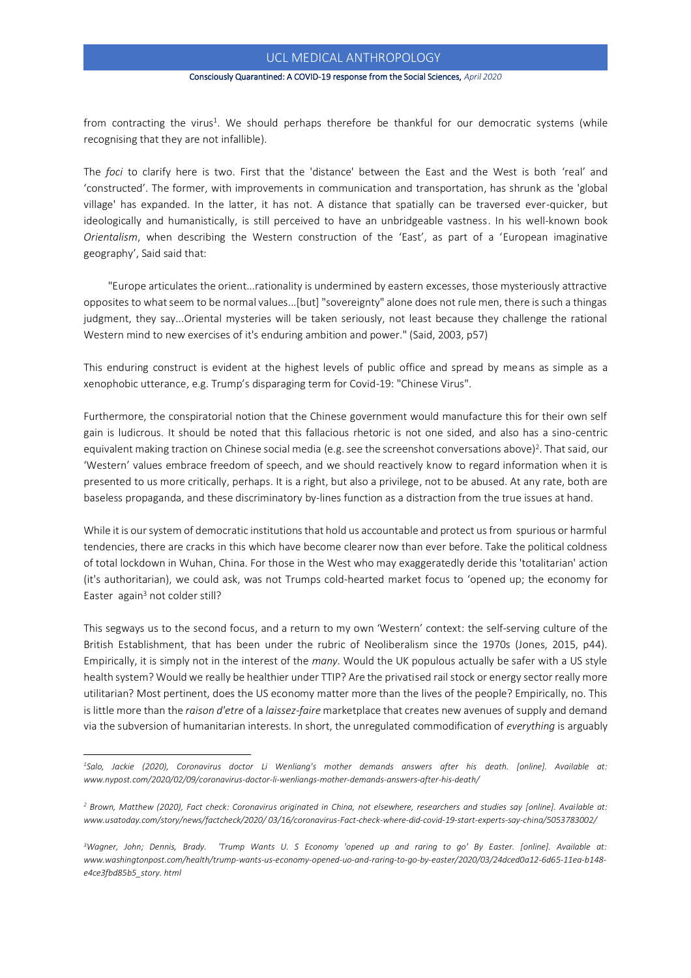#### Consciously Quarantined: A COVID-19 response from the Social Sciences, *April 2020*

from contracting the virus<sup>1</sup>. We should perhaps therefore be thankful for our democratic systems (while recognising that they are not infallible).

The *foci* to clarify here is two. First that the 'distance' between the East and the West is both 'real' and 'constructed'. The former, with improvements in communication and transportation, has shrunk as the 'global village' has expanded. In the latter, it has not. A distance that spatially can be traversed ever-quicker, but ideologically and humanistically, is still perceived to have an unbridgeable vastness. In his well-known book *Orientalism*, when describing the Western construction of the 'East', as part of a 'European imaginative geography', Said said that:

"Europe articulates the orient...rationality is undermined by eastern excesses, those mysteriously attractive opposites to what seem to be normal values...[but] "sovereignty" alone does not rule men, there is such a thingas judgment, they say...Oriental mysteries will be taken seriously, not least because they challenge the rational Western mind to new exercises of it's enduring ambition and power." (Said, 2003, p57)

This enduring construct is evident at the highest levels of public office and spread by means as simple as a xenophobic utterance, e.g. Trump's disparaging term for Covid-19: "Chinese Virus".

Furthermore, the conspiratorial notion that the Chinese government would manufacture this for their own self gain is ludicrous. It should be noted that this fallacious rhetoric is not one sided, and also has a sino-centric equivalent making traction on Chinese social media (e.g. see the screenshot conversations above)<sup>2</sup>. That said, our 'Western' values embrace freedom of speech, and we should reactively know to regard information when it is presented to us more critically, perhaps. It is a right, but also a privilege, not to be abused. At any rate, both are baseless propaganda, and these discriminatory by-lines function as a distraction from the true issues at hand.

While it is our system of democratic institutions that hold us accountable and protect us from spurious or harmful tendencies, there are cracks in this which have become clearer now than ever before. Take the political coldness of total lockdown in Wuhan, China. For those in the West who may exaggeratedly deride this 'totalitarian' action (it's authoritarian), we could ask, was not Trumps cold-hearted market focus to 'opened up; the economy for Easter again<sup>3</sup> not colder still?

This segways us to the second focus, and a return to my own 'Western' context: the self-serving culture of the British Establishment, that has been under the rubric of Neoliberalism since the 1970s (Jones, 2015, p44). Empirically, it is simply not in the interest of the *many*. Would the UK populous actually be safer with a US style health system? Would we really be healthier under TTIP? Are the privatised rail stock or energy sector really more utilitarian? Most pertinent, does the US economy matter more than the lives of the people? Empirically, no. This is little more than the *raison d'etre* of a *laissez-faire* marketplace that creates new avenues of supply and demand via the subversion of humanitarian interests. In short, the unregulated commodification of *everything* is arguably

*<sup>1</sup>Salo, Jackie (2020), Coronavirus doctor Li Wenliang's mother demands answers after his death. [online]. Available at: www.nypost.com/2020/02/09/coronavirus-doctor-li-wenliangs-mother-demands-answers-after-his-death/*

*<sup>2</sup> Brown, Matthew (2020), Fact check: Coronavirus originated in China, not elsewhere, researchers and studies say [online]. Available at: [www.usatoday.com/story/news/](http://www.usatoday.com/story/news)factcheck/2020/ 03/16/coronavirus-Fact-check-where-did-covid-19-start-experts-say-china/5053783002/*

*<sup>3</sup>Wagner, John; Dennis, Brady. 'Trump Wants U. S Economy 'opened up and raring to go' By Easter. [online]. Available at: www.washingtonpost.com/health/trump-wants-us-economy-opened-uo-and-raring-to-go-by-easter/2020/03/24dced0a12-6d65-11ea-b148 e4ce3fbd85b5\_story. html*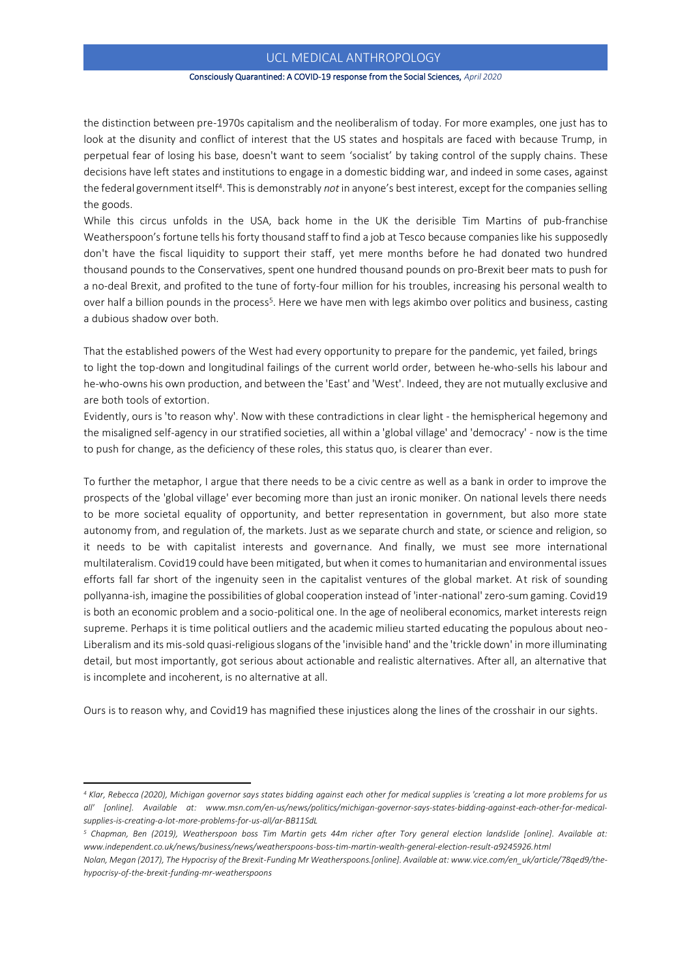#### Consciously Quarantined: A COVID-19 response from the Social Sciences, *April 2020*

the distinction between pre-1970s capitalism and the neoliberalism of today. For more examples, one just has to look at the disunity and conflict of interest that the US states and hospitals are faced with because Trump, in perpetual fear of losing his base, doesn't want to seem 'socialist' by taking control of the supply chains. These decisions have left states and institutions to engage in a domestic bidding war, and indeed in some cases, against the federal government itself<sup>4</sup>. This is demonstrably *not* in anyone's best interest, except for the companies selling the goods.

While this circus unfolds in the USA, back home in the UK the derisible Tim Martins of pub-franchise Weatherspoon's fortune tells his forty thousand staff to find a job at Tesco because companies like his supposedly don't have the fiscal liquidity to support their staff, yet mere months before he had donated two hundred thousand pounds to the Conservatives, spent one hundred thousand pounds on pro-Brexit beer mats to push for a no-deal Brexit, and profited to the tune of forty-four million for his troubles, increasing his personal wealth to over half a billion pounds in the process<sup>5</sup>. Here we have men with legs akimbo over politics and business, casting a dubious shadow over both.

That the established powers of the West had every opportunity to prepare for the pandemic, yet failed, brings to light the top-down and longitudinal failings of the current world order, between he-who-sells his labour and he-who-owns his own production, and between the 'East' and 'West'. Indeed, they are not mutually exclusive and are both tools of extortion.

Evidently, ours is 'to reason why'. Now with these contradictions in clear light - the hemispherical hegemony and the misaligned self-agency in our stratified societies, all within a 'global village' and 'democracy' - now is the time to push for change, as the deficiency of these roles, this status quo, is clearer than ever.

To further the metaphor, I argue that there needs to be a civic centre as well as a bank in order to improve the prospects of the 'global village' ever becoming more than just an ironic moniker. On national levels there needs to be more societal equality of opportunity, and better representation in government, but also more state autonomy from, and regulation of, the markets. Just as we separate church and state, or science and religion, so it needs to be with capitalist interests and governance. And finally, we must see more international multilateralism. Covid19 could have been mitigated, but when it comes to humanitarian and environmental issues efforts fall far short of the ingenuity seen in the capitalist ventures of the global market. At risk of sounding pollyanna-ish, imagine the possibilities of global cooperation instead of 'inter-national' zero-sum gaming. Covid19 is both an economic problem and a socio-political one. In the age of neoliberal economics, market interests reign supreme. Perhaps it is time political outliers and the academic milieu started educating the populous about neo-Liberalism and its mis-sold quasi-religious slogans of the 'invisible hand' and the 'trickle down' in more illuminating detail, but most importantly, got serious about actionable and realistic alternatives. After all, an alternative that is incomplete and incoherent, is no alternative at all.

Ours is to reason why, and Covid19 has magnified these injustices along the lines of the crosshair in our sights.

*<sup>4</sup> Klar, Rebecca (2020), Michigan governor says states bidding against each other for medical supplies is 'creating a lot more problems for us all' [online]. Available at: www.msn.com/en-us/news/politics/michigan-governor-says-states-bidding-against-each-other-for-medicalsupplies-is-creating-a-lot-more-problems-for-us-all/ar-BB11SdL*

*<sup>5</sup> Chapman, Ben (2019), Weatherspoon boss Tim Martin gets 44m richer after Tory general election landslide [online]. Available at: [www.independent.co.uk/news/business/news/weatherspoons-boss-tim-martin-wealth-general-election-result-a9245926.html](http://www.independent.co.uk/news/business/news/weatherspoons-boss-tim-martin-wealth-general-election-result-a9245926.html)*

*Nolan, Megan (2017), The Hypocrisy of the Brexit-Funding Mr Weatherspoons.[online]. Available at[: www.vice.com/en\\_uk/article/78qed9/the](http://www.vice.com/en_uk/article/78qed9/the-hypocrisy-of-the-brexit-funding-mr-weatherspoons)[hypocrisy-of-the-brexit-funding-mr-weatherspoons](http://www.vice.com/en_uk/article/78qed9/the-hypocrisy-of-the-brexit-funding-mr-weatherspoons)*